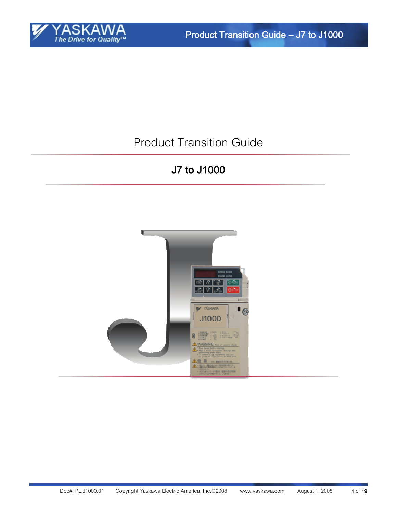

# Product Transition Guide

# J7 to J1000

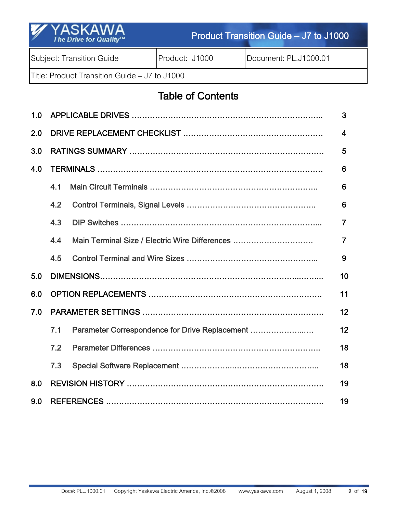| Y YASKAWA<br>The Drive for Quality <sup>TM</sup> | Product Transition Guide – J7 to J1000 |                       |  |  |  |  |
|--------------------------------------------------|----------------------------------------|-----------------------|--|--|--|--|
| Subject: Transition Guide                        | Product: J1000                         | Document: PL.J1000.01 |  |  |  |  |
| Title: Product Transition Guide - J7 to J1000    |                                        |                       |  |  |  |  |

# Table of Contents

| 1.0 | 3                       |                                                |                |  |  |  |
|-----|-------------------------|------------------------------------------------|----------------|--|--|--|
| 2.0 | $\overline{\mathbf{4}}$ |                                                |                |  |  |  |
| 3.0 |                         |                                                | 5              |  |  |  |
| 4.0 |                         |                                                | 6              |  |  |  |
|     | 4.1                     |                                                | 6              |  |  |  |
|     | 4.2                     |                                                | 6              |  |  |  |
|     | 4.3                     |                                                | $\overline{7}$ |  |  |  |
|     | 4.4                     | Main Terminal Size / Electric Wire Differences | $\overline{7}$ |  |  |  |
|     | 4.5                     |                                                | 9              |  |  |  |
| 5.0 |                         |                                                | 10             |  |  |  |
| 6.0 |                         |                                                | 11             |  |  |  |
| 7.0 |                         |                                                | 12             |  |  |  |
|     | 7.1                     | Parameter Correspondence for Drive Replacement | 12             |  |  |  |
|     | 7.2                     |                                                | 18             |  |  |  |
|     | 7.3                     |                                                | 18             |  |  |  |
| 8.0 | 19                      |                                                |                |  |  |  |
| 9.0 |                         |                                                | 19             |  |  |  |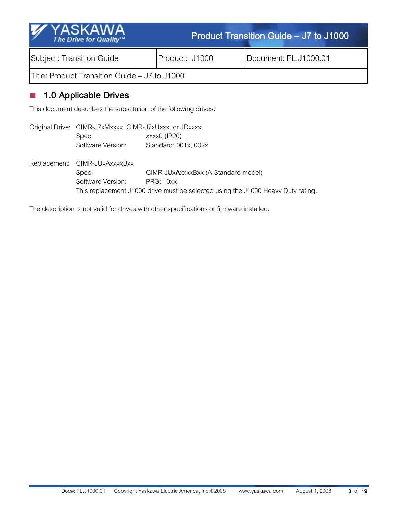| 'YASKAWA<br>$\overline{M}$<br>The Drive for Quality™ |                | <b>Product Transition Guide - J7 to J1000</b> |  |  |
|------------------------------------------------------|----------------|-----------------------------------------------|--|--|
| Subject: Transition Guide                            | Product: J1000 | Document: PL.J1000.01                         |  |  |
| Title: Product Transition Guide – J7 to J1000        |                |                                               |  |  |

### ■ 1.0 Applicable Drives

This document describes the substitution of the following drives:

Original Drive: CIMR-J7xMxxxx, CIMR-J7xUxxx, or JDxxxx Spec: xxxx0 (IP20) Software Version: Standard: 001x, 002x Replacement: CIMR-JUxAxxxxBxx Spec: CIMR-JUxAxxxBxx (A-Standard model) Software Version: PRG: 10xx This replacement J1000 drive must be selected using the J1000 Heavy Duty rating.

The description is not valid for drives with other specifications or firmware installed.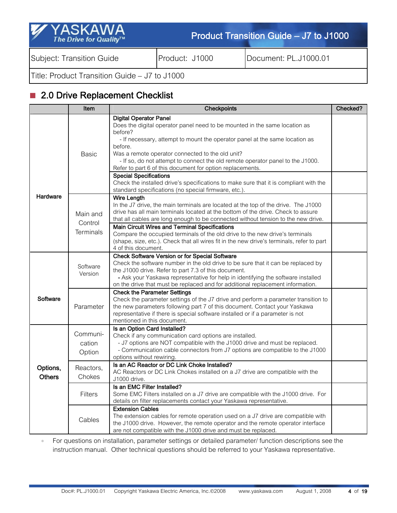| Y YASKAWA<br>The Drive for Quality™ | Product Transition Guide – J7 to J1000 |                       |  |  |
|-------------------------------------|----------------------------------------|-----------------------|--|--|
| Subject: Transition Guide           | Product: J1000                         | Document: PL.J1000.01 |  |  |

Title: Product Transition Guide – J7 to J1000

## 2.0 Drive Replacement Checklist

|                           | Item                         | Checkpoints                                                                                                                                                                                                                                                                                                                                                                                                                                                                                                                                                                                           | Checked? |
|---------------------------|------------------------------|-------------------------------------------------------------------------------------------------------------------------------------------------------------------------------------------------------------------------------------------------------------------------------------------------------------------------------------------------------------------------------------------------------------------------------------------------------------------------------------------------------------------------------------------------------------------------------------------------------|----------|
|                           | Basic                        | <b>Digital Operator Panel</b><br>Does the digital operator panel need to be mounted in the same location as<br>before?<br>- If necessary, attempt to mount the operator panel at the same location as<br>before.<br>Was a remote operator connected to the old unit?<br>- If so, do not attempt to connect the old remote operator panel to the J1000.<br>Refer to part 6 of this document for option replacements.<br><b>Special Specifications</b><br>Check the installed drive's specifications to make sure that it is compliant with the<br>standard specifications (no special firmware, etc.). |          |
| Hardware                  | Main and<br>Control          | <b>Wire Length</b><br>In the J7 drive, the main terminals are located at the top of the drive. The J1000<br>drive has all main terminals located at the bottom of the drive. Check to assure<br>that all cables are long enough to be connected without tension to the new drive.<br><b>Main Circuit Wires and Terminal Specifications</b>                                                                                                                                                                                                                                                            |          |
|                           | Terminals                    | Compare the occupied terminals of the old drive to the new drive's terminals<br>(shape, size, etc.). Check that all wires fit in the new drive's terminals, refer to part<br>4 of this document.                                                                                                                                                                                                                                                                                                                                                                                                      |          |
|                           | Software<br>Version          | <b>Check Software Version or for Special Software</b><br>Check the software number in the old drive to be sure that it can be replaced by<br>the J1000 drive. Refer to part 7.3 of this document.<br>- Ask your Yaskawa representative for help in identifying the software installed<br>on the drive that must be replaced and for additional replacement information.                                                                                                                                                                                                                               |          |
| Software                  | Parameter                    | <b>Check the Parameter Settings</b><br>Check the parameter settings of the J7 drive and perform a parameter transition to<br>the new parameters following part 7 of this document. Contact your Yaskawa<br>representative if there is special software installed or if a parameter is not<br>mentioned in this document.                                                                                                                                                                                                                                                                              |          |
|                           | Communi-<br>cation<br>Option | Is an Option Card Installed?<br>Check if any communication card options are installed.<br>- J7 options are NOT compatible with the J1000 drive and must be replaced.<br>- Communication cable connectors from J7 options are compatible to the J1000<br>options without rewiring.                                                                                                                                                                                                                                                                                                                     |          |
| Options,<br><b>Others</b> | Reactors.<br>Chokes          | Is an AC Reactor or DC Link Choke Installed?<br>AC Reactors or DC Link Chokes installed on a J7 drive are compatible with the<br>J1000 drive.                                                                                                                                                                                                                                                                                                                                                                                                                                                         |          |
|                           | Filters                      | Is an EMC Filter Installed?<br>Some EMC Filters installed on a J7 drive are compatible with the J1000 drive. For<br>details on filter replacements contact your Yaskawa representative.                                                                                                                                                                                                                                                                                                                                                                                                               |          |
|                           | Cables                       | <b>Extension Cables</b><br>The extension cables for remote operation used on a J7 drive are compatible with<br>the J1000 drive. However, the remote operator and the remote operator interface<br>are not compatible with the J1000 drive and must be replaced.                                                                                                                                                                                                                                                                                                                                       |          |

• For questions on installation, parameter settings or detailed parameter/ function descriptions see the instruction manual. Other technical questions should be referred to your Yaskawa representative.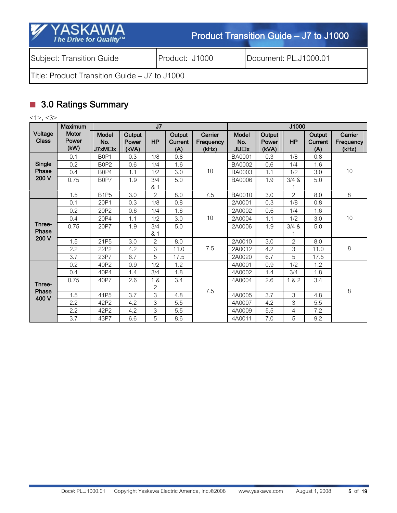| <b>YASKAWA</b><br>$\mathscr{A}$<br>The Drive for Quality™ |                | Product Transition Guide – J7 to J1000 |
|-----------------------------------------------------------|----------------|----------------------------------------|
| Subject: Transition Guide                                 | Product: J1000 | Document: PL.J1000.01                  |
| Title: Product Transition Guide – J7 to J1000             |                |                                        |

# ■ 3.0 Ratings Summary

<1>, <3>

| . .                      | <b>Maximum</b>                |                                     |                          | J7             |                                 |                               | J1000                                 |                          |                |                                 |                               |
|--------------------------|-------------------------------|-------------------------------------|--------------------------|----------------|---------------------------------|-------------------------------|---------------------------------------|--------------------------|----------------|---------------------------------|-------------------------------|
| Voltage<br><b>Class</b>  | <b>Motor</b><br>Power<br>(kW) | Model<br>No.<br>J7xM <sub>D</sub> x | Output<br>Power<br>(kVA) | <b>HP</b>      | Output<br><b>Current</b><br>(A) | Carrier<br>Frequency<br>(kHz) | Model<br>No.<br><b>JU<sub>L</sub></b> | Output<br>Power<br>(kVA) | HP             | Output<br><b>Current</b><br>(A) | Carrier<br>Frequency<br>(kHz) |
|                          | 0.1                           | B <sub>0</sub> P <sub>1</sub>       | 0.3                      | 1/8            | 0.8                             |                               | BA0001                                | 0.3                      | 1/8            | 0.8                             |                               |
| Single                   | 0.2                           | B <sub>0</sub> P <sub>2</sub>       | 0.6                      | 1/4            | 1.6                             |                               | <b>BA0002</b>                         | 0.6                      | 1/4            | 1.6                             |                               |
| Phase                    | 0.4                           | B <sub>0</sub> P <sub>4</sub>       | 1.1                      | 1/2            | 3.0                             | 10                            | BA0003                                | 1.1                      | 1/2            | 3.0                             | 10 <sup>°</sup>               |
| 200 V                    | 0.75                          | B0P7                                | 1.9                      | 3/4            | 5.0                             |                               | <b>BA0006</b>                         | 1.9                      | 3/4 &          | 5.0                             |                               |
|                          |                               |                                     |                          | & 1            |                                 |                               |                                       |                          | 1              |                                 |                               |
|                          | 1.5                           | B <sub>1P5</sub>                    | 3.0                      | 2              | 8.0                             | 7.5                           | <b>BA0010</b>                         | 3.0                      | 2              | 8.0                             | 8                             |
|                          | 0.1                           | 20P1                                | 0.3                      | 1/8            | 0.8                             |                               | 2A0001                                | 0.3                      | 1/8            | 0.8                             |                               |
|                          | 0.2                           | 20P2                                | 0.6                      | 1/4            | 1.6                             | 10                            | 2A0002                                | 0.6                      | 1/4            | 1.6                             | 10                            |
|                          | 0.4                           | 20P4                                | 1.1                      | 1/2            | 3.0                             |                               | 2A0004                                | 1.1                      | 1/2            | 3.0                             |                               |
| Three-                   | 0.75                          | 20P7                                | 1.9                      | 3/4            | 5.0                             |                               | 2A0006                                | 1.9                      | 3/4 &          | 5.0                             |                               |
| Phase                    |                               |                                     |                          | & 1            |                                 |                               |                                       |                          |                |                                 |                               |
| 200 V                    | 1.5                           | 21P5                                | 3.0                      | $\overline{2}$ | 8.0                             |                               | 2A0010                                | 3.0                      | $\overline{2}$ | 8.0                             |                               |
|                          | 2.2                           | 22P2                                | 4.2                      | 3              | 11.0                            | 7.5                           | 2A0012                                | 4.2                      | 3              | 11.0                            | 8                             |
|                          | 3.7                           | 23P7                                | 6.7                      | 5              | 17.5                            |                               | 2A0020                                | 6.7                      | 5              | 17.5                            |                               |
|                          | 0.2                           | 40P2                                | 0.9                      | 1/2            | 1.2                             |                               | 4A0001                                | 0.9                      | 1/2            | 1.2                             |                               |
|                          | 0.4                           | 40P4                                | 1.4                      | 3/4            | 1.8                             |                               | 4A0002                                | 1.4                      | 3/4            | 1.8                             |                               |
|                          | 0.75                          | 40P7                                | 2.6                      | 1 &            | 3.4                             |                               | 4A0004                                | 2.6                      | 1 & 2          | 3.4                             |                               |
| Three-<br>Phase<br>400 V |                               |                                     |                          | 2              |                                 | 7.5                           |                                       |                          |                |                                 | 8                             |
|                          | 1.5                           | 41P5                                | 3.7                      | 3              | 4.8                             |                               | 4A0005                                | 3.7                      | 3              | 4.8                             |                               |
|                          | 2.2                           | 42P2                                | 4.2                      | 3              | 5.5                             |                               | 4A0007                                | 4.2                      | 3              | 5.5                             |                               |
|                          | 2.2                           | 42P2                                | 4,2                      | 3              | 5,5                             |                               | 4A0009                                | 5.5                      | $\overline{4}$ | 7.2                             |                               |
|                          | 3.7                           | 43P7                                | 6.6                      | 5              | 8.6                             |                               | 4A0011                                | 7.0                      | 5              | 9.2                             |                               |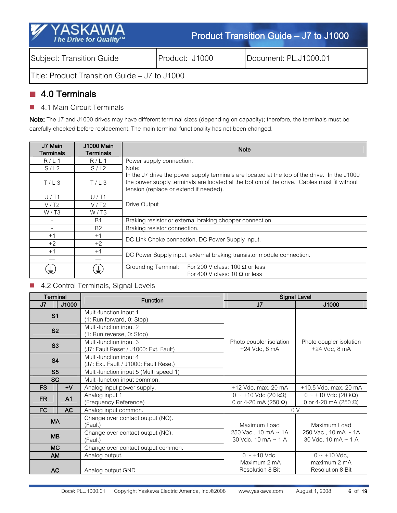| <b>Y</b> YASKAWA<br>The Drive for Quality™    | Product Transition Guide – J7 to J1000 |                       |  |  |  |  |
|-----------------------------------------------|----------------------------------------|-----------------------|--|--|--|--|
| Subject: Transition Guide                     | Product: J1000                         | Document: PL.J1000.01 |  |  |  |  |
| Title: Product Transition Guide – J7 to J1000 |                                        |                       |  |  |  |  |

## ■ 4.0 Terminals

■ 4.1 Main Circuit Terminals

Note: The J7 and J1000 drives may have different terminal sizes (depending on capacity); therefore, the terminals must be carefully checked before replacement. The main terminal functionality has not been changed.

| J7 Main<br>Terminals | <b>J1000 Main</b><br><b>Terminals</b> | <b>Note</b>                                                                                                                                                                                                                          |  |  |  |
|----------------------|---------------------------------------|--------------------------------------------------------------------------------------------------------------------------------------------------------------------------------------------------------------------------------------|--|--|--|
| R/L1                 | R/L1                                  | Power supply connection.                                                                                                                                                                                                             |  |  |  |
| S/L2                 | S/L2                                  | Note:                                                                                                                                                                                                                                |  |  |  |
| T/L3                 | T/L3                                  | In the J7 drive the power supply terminals are located at the top of the drive. In the J1000<br>the power supply terminals are located at the bottom of the drive. Cables must fit without<br>tension (replace or extend if needed). |  |  |  |
| U/T1                 | U/T1                                  |                                                                                                                                                                                                                                      |  |  |  |
| V/T2                 | V/T2                                  | Drive Output                                                                                                                                                                                                                         |  |  |  |
| W/T3                 | W/T3                                  |                                                                                                                                                                                                                                      |  |  |  |
|                      | <b>B1</b>                             | Braking resistor or external braking chopper connection.                                                                                                                                                                             |  |  |  |
|                      | <b>B2</b>                             | Braking resistor connection.                                                                                                                                                                                                         |  |  |  |
| $+1$                 | $+1$                                  | DC Link Choke connection, DC Power Supply input.                                                                                                                                                                                     |  |  |  |
| $+2$                 | $+2$                                  |                                                                                                                                                                                                                                      |  |  |  |
| $+1$                 | $+1$                                  |                                                                                                                                                                                                                                      |  |  |  |
|                      |                                       | DC Power Supply input, external braking transistor module connection.                                                                                                                                                                |  |  |  |
| ₹                    | 恚                                     | Grounding Terminal: For 200 V class: 100 $\Omega$ or less<br>For 400 V class: 10 $\Omega$ or less                                                                                                                                    |  |  |  |

### ■ 4.2 Control Terminals, Signal Levels

| <b>Terminal</b>             |           | <b>Function</b>                                                 |                                                                                        | <b>Signal Level</b>                                      |
|-----------------------------|-----------|-----------------------------------------------------------------|----------------------------------------------------------------------------------------|----------------------------------------------------------|
| J1000<br>J7                 |           |                                                                 | J <sub>7</sub>                                                                         | J1000                                                    |
| S <sub>1</sub>              |           | Multi-function input 1<br>(1: Run forward, 0: Stop)             |                                                                                        |                                                          |
| <b>S2</b>                   |           | Multi-function input 2<br>(1: Run reverse, 0: Stop)             |                                                                                        |                                                          |
| S3                          |           | Multi-function input 3<br>(J7: Fault Reset / J1000: Ext. Fault) | Photo coupler isolation<br>Photo coupler isolation<br>+24 Vdc, 8 mA<br>$+24$ Vdc, 8 mA |                                                          |
| <b>S4</b>                   |           | Multi-function input 4<br>(J7: Ext. Fault / J1000: Fault Reset) |                                                                                        |                                                          |
| S <sub>5</sub>              |           | Multi-function input 5 (Multi speed 1)                          |                                                                                        |                                                          |
| <b>SC</b>                   |           | Multi-function input common.                                    |                                                                                        |                                                          |
| <b>FS</b>                   | $+V$      | Analog input power supply.                                      | $+12$ Vdc, max. 20 mA                                                                  | $+10.5$ Vdc, max. 20 mA                                  |
| <b>FR</b><br>A <sub>1</sub> |           | Analog input 1<br>(Frequency Reference)                         | $0 \sim +10$ Vdc (20 kΩ)<br>0 or 4-20 mA (250 $\Omega$ )                               | $0 \sim +10$ Vdc (20 kΩ)<br>0 or 4-20 mA (250 $\Omega$ ) |
| FC                          | <b>AC</b> | Analog input common.                                            | 0V                                                                                     |                                                          |
| <b>MA</b>                   |           | Change over contact output (NO).<br>(Fault)                     | Maximum Load<br>Maximum Load                                                           |                                                          |
| <b>MB</b>                   |           | Change over contact output (NC).<br>(Fault)                     | 250 Vac, 10 mA ~ 1A<br>30 Vdc, 10 mA $\sim$ 1 A                                        | 250 Vac, 10 mA ~ 1A<br>30 Vdc, 10 mA $\sim$ 1 A          |
| <b>MC</b>                   |           | Change over contact output common.                              |                                                                                        |                                                          |
| <b>AM</b>                   |           | Analog output.                                                  | $0 \sim +10$ Vdc.                                                                      | $0 \sim +10$ Vdc.                                        |
| <b>AC</b>                   |           | Analog output GND                                               | Maximum 2 mA<br><b>Resolution 8 Bit</b>                                                | maximum 2 mA<br>Resolution 8 Bit                         |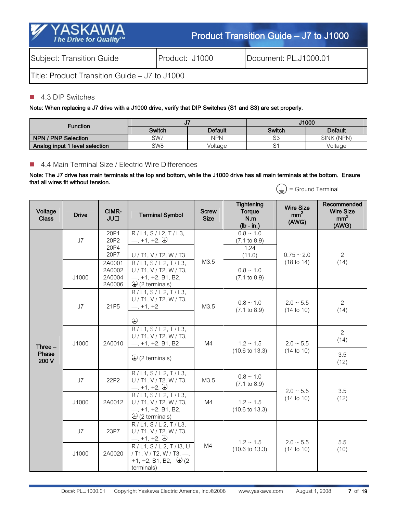| <b>Y</b> YASKAWA<br>The Drive for Quality™    | Product Transition Guide - J7 to J1000 |                       |  |  |
|-----------------------------------------------|----------------------------------------|-----------------------|--|--|
| Subject: Transition Guide                     | Product: J1000                         | Document: PL.J1000.01 |  |  |
| Title: Product Transition Guide – J7 to J1000 |                                        |                       |  |  |

#### ■ 4.3 DIP Switches

Note: When replacing a J7 drive with a J1000 drive, verify that DIP Switches (S1 and S3) are set properly.

| <b>Function</b>                |               |                | <b>J1000</b>                    |            |  |
|--------------------------------|---------------|----------------|---------------------------------|------------|--|
|                                | <b>Switch</b> | <b>Default</b> | <b>Default</b><br><b>Switch</b> |            |  |
| NPN / PNP Selection            | SW7           | NPN            | C <sub>2</sub><br>◡◡            | SINK (NPN) |  |
| Analog input 1 level selection | SW8           | Voltage        | $\sim$<br>ັ                     | Voltage    |  |

### ■ 4.4 Main Terminal Size / Electric Wire Differences

#### Note: The J7 drive has main terminals at the top and bottom, while the J1000 drive has all main terminals at the bottom. Ensure that all wires fit without tension.  $\left(\frac{1}{\sqrt{2}}\right)$  = Ground Terminal

| Voltage<br><b>Class</b>     | <b>Drive</b> | CIMR-<br><b>JUL</b>                              | <b>Terminal Symbol</b>                                                                                                            | <b>Screw</b><br><b>Size</b> | <b>Tightening</b><br>Torque<br>N.m<br>$(lb - in.)$                            | <b>Wire Size</b><br>mm <sup>2</sup><br>(AWG) | Recommended<br><b>Wire Size</b><br>mm <sup>2</sup><br>(AWG) |
|-----------------------------|--------------|--------------------------------------------------|-----------------------------------------------------------------------------------------------------------------------------------|-----------------------------|-------------------------------------------------------------------------------|----------------------------------------------|-------------------------------------------------------------|
|                             | J7           | 20P1<br>20P2<br>20P4<br>20P7<br>2A0001<br>2A0002 | R/L1, S/L2, T/L3,<br>$-$ , +1, +2, $\oplus$<br>U / T1, V / T2, W / T3<br>R/L1, S/L2, T/L3,<br>U / T1, V / T2, W / T3,             | M3.5                        | $0.8 \sim 1.0$<br>$(7.1 \text{ to } 8.9)$<br>1.24<br>(11.0)<br>$0.8 \sim 1.0$ | $0.75 - 2.0$<br>$(18 \text{ to } 14)$        | $\overline{2}$<br>(14)                                      |
| Three $-$<br>Phase<br>200 V | J1000<br>J7  | 2A0004<br>2A0006<br>21P <sub>5</sub>             | $-$ , +1, +2, B1, B2,<br>$\bigcirc$ (2 terminals)<br>R/L1, S/L 2, T/L3,<br>U / T1, V / T2, W / T3,<br>$-$ , +1, +2<br>$\bigoplus$ | M3.5                        | $(7.1 \text{ to } 8.9)$<br>$0.8 \sim 1.0$<br>$(7.1 \text{ to } 8.9)$          | $2.0 \sim 5.5$<br>$(14 \text{ to } 10)$      | $\overline{2}$<br>(14)                                      |
|                             | J1000        | 2A0010                                           | R/L1, S/L2, T/L3,<br>U / T1, V / T2, W / T3,<br>$-$ , +1, +2, B1, B2<br>$\bigcirc$ (2 terminals)                                  | M4                          | $1.2 \sim 1.5$<br>$(10.6 \text{ to } 13.3)$                                   | $2.0 - 5.5$<br>(14 to 10)                    | $\overline{2}$<br>(14)<br>3.5<br>(12)                       |
|                             | J7           | 22P2                                             | R/L1, S/L2, T/L3,<br>U / T1, V / T2, W / T3,<br>$-$ , +1, +2, $\oplus$                                                            | M3.5                        | $0.8 - 1.0$<br>$(7.1 \text{ to } 8.9)$                                        | $2.0 \sim 5.5$                               | 3.5                                                         |
|                             | J1000        | 2A0012                                           | R / L1, S / L2, T / L3,<br>U / T1, V / T2, W / T3,<br>$-$ , +1, +2, B1, B2,<br>$\odot$ (2 terminals)                              | M4                          | $1.2 \sim 1.5$<br>$(10.6 \text{ to } 13.3)$                                   | (14 to 10)                                   | (12)                                                        |
|                             | J7           | 23P7                                             | R / L1, S / L2, T / L3,<br>U / T1, V / T2, W / T3,<br>$-$ , +1, +2, $\oplus$                                                      |                             | $1.2 \sim 1.5$                                                                | $2.0 \sim 5.5$                               | 5.5                                                         |
|                             | J1000        | 2A0020                                           | R/L1, S/L 2, T/I3, U<br>/ T1, V / T2, W / T3, $-$ ,<br>+1, +2, B1, B2, $\bigoplus$ (2)<br>terminals)                              | M4                          | $(10.6 \text{ to } 13.3)$                                                     | (14 to 10)                                   | (10)                                                        |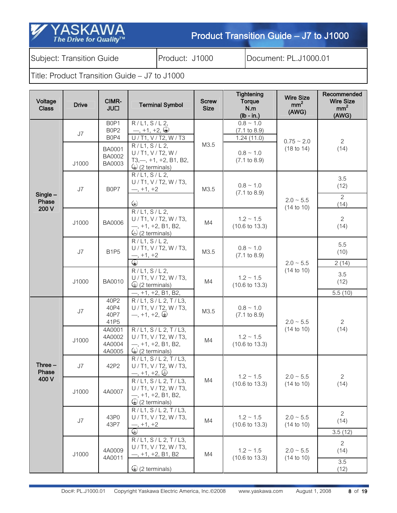Subject: Transition Guide **Product: J1000** Document: PL.J1000.01

SK

The Drive for Quality<sup>TM</sup>

| Voltage<br><b>Class</b> | <b>Drive</b> | CIMR-<br><b>UUL</b>                      | <b>Terminal Symbol</b>                                                                                     | <b>Screw</b><br><b>Size</b>                                                | <b>Tightening</b><br>Torque<br>N.m<br>$(lb - in.)$      | <b>Wire Size</b><br>mm <sup>2</sup><br>(AWG) | Recommended<br><b>Wire Size</b><br>mm <sup>2</sup><br>(AWG) |
|-------------------------|--------------|------------------------------------------|------------------------------------------------------------------------------------------------------------|----------------------------------------------------------------------------|---------------------------------------------------------|----------------------------------------------|-------------------------------------------------------------|
|                         | J7           | B0P1<br>B0P2<br>B0P4                     | R/L1, S/L2,<br>$-$ , +1, +2, $\oplus$<br>U / T1, V / T2, W / T3                                            | M3.5                                                                       | $0.8 \sim 1.0$<br>$(7.1 \text{ to } 8.9)$<br>1.24(11.0) | $0.75 - 2.0$                                 | $\mathbf{2}^{\prime}$                                       |
|                         | J1000        | BA0001<br>BA0002<br>BA0003               | R/L1, S/L2,<br>U / T1, V / T2, W /<br>$T3, -$ , +1, +2, B1, B2,<br>$\bigcirc$ (2 terminals)                |                                                                            | $0.8 \sim 1.0$<br>$(7.1 \text{ to } 8.9)$               | (18 to 14)                                   | (14)                                                        |
| $Single -$<br>Phase     | J7           | B0P7                                     | R / L1, S / L2,<br>U / T1, V / T2, W / T3,<br>$-$ , +1, +2<br>$\bigoplus$                                  | M3.5                                                                       | $0.8 \sim 1.0$<br>$(7.1 \text{ to } 8.9)$               | $2.0 - 5.5$                                  | 3.5<br>(12)<br>$\overline{2}$<br>(14)                       |
| 200 V                   | J1000        | <b>BA0006</b>                            | R / L1, S / L2,<br>$U/T1$ , V / T2, W / T3,<br>$-$ , +1, +2, B1, B2,<br>$\bigcirc$ (2 terminals)           | M4                                                                         | $1.2 \sim 1.5$<br>$(10.6 \text{ to } 13.3)$             | (14 to 10)                                   | $\overline{2}$<br>(14)                                      |
|                         | J7           | B <sub>1P5</sub>                         | R/L1, S/L2,<br>$U/T1$ , V / T2, W / T3,<br>$-$ , +1, +2<br>⊕                                               | M3.5                                                                       | $0.8 \sim 1.0$<br>$(7.1 \text{ to } 8.9)$               | $2.0 - 5.5$                                  | 5.5<br>(10)<br>2(14)                                        |
|                         | J1000        | BA0010                                   | R/L1, S/L2,<br>U / T1, V / T2, W / T3,<br>$\bigcirc$ (2 terminals)<br>$-$ , +1, +2, B1, B2,                | M4                                                                         | $1.2 \sim 1.5$<br>$(10.6 \text{ to } 13.3)$             | (14 to 10)                                   | 3.5<br>(12)<br>5.5(10)                                      |
|                         | J7           | 40P2<br>40P4<br>40P7<br>41P <sub>5</sub> | R / L1, S / L2, T / L3,<br>U / T1, V / T2, W / T3,<br>$-$ , +1, +2, $\oplus$                               | M3.5                                                                       | $0.8 \sim 1.0$<br>$(7.1 \text{ to } 8.9)$               | $2.0 - 5.5$                                  | 2                                                           |
|                         | J1000        | 4A0001<br>4A0002<br>4A0004<br>4A0005     | R/L1, S/L2, T/L3,<br>U / T1, V / T2, W / T3,<br>$-$ , +1, +2, B1, B2,<br>$\bigcirc$ (2 terminals)          | $(14 \text{ to } 10)$<br>$1.2 \sim 1.5$<br>M4<br>$(10.6 \text{ to } 13.3)$ |                                                         |                                              | (14)                                                        |
| Three $-$<br>Phase      | J7           | 42P2                                     | R/L1, S/L2, T/L3,<br>U / T1, V / T2, W / T3,<br>$-$ , +1, +2, $\oplus$                                     |                                                                            | $1.2 \sim 1.5$                                          | $2.0 - 5.5$                                  | $\overline{2}$                                              |
| 400 V                   | J1000        | 4A0007                                   | $\overline{R/L1}$ , S/L 2, T/L3,<br>U/T1, V/T2, W/T3,<br>$-$ , +1, +2, B1, B2,<br>$\bigcirc$ (2 terminals) | M4                                                                         | $(10.6 \text{ to } 13.3)$                               | $(14 \text{ to } 10)$                        | (14)                                                        |
|                         | J7           | 43P0<br>43P7                             | R / L1, S / L2, T / L3,<br>U / T1, V / T2, W / T3,<br>$-$ , $+1$ , $+2$<br>$\overline{\oplus}$             | M4                                                                         | $1.2 \sim 1.5$<br>$(10.6 \text{ to } 13.3)$             | $2.0 - 5.5$<br>(14 to 10)                    | $\overline{2}$<br>(14)<br>3.5(12)                           |
|                         | J1000        | 4A0009<br>4A0011                         | R / L1, S / L2, T / L3,<br>$U/T1$ , V / T2, W / T3,<br>$-$ , +1, +2, B1, B2<br>$\bigcirc$ (2 terminals)    | M4                                                                         | $1.2 \sim 1.5$<br>$(10.6 \text{ to } 13.3)$             | $2.0 - 5.5$<br>(14 to 10)                    | $\overline{2}$<br>(14)<br>3.5<br>(12)                       |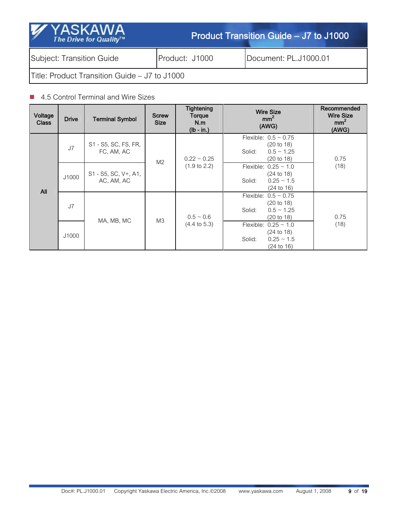| <b>YASKAWA</b><br><b>SIL</b><br>The Drive for Quality™ |                | Product Transition Guide – J7 to J1000 |  |  |  |  |  |  |
|--------------------------------------------------------|----------------|----------------------------------------|--|--|--|--|--|--|
| Subject: Transition Guide                              | Product: J1000 | Document: PL.J1000.01                  |  |  |  |  |  |  |
| Title: Product Transition Guide - J7 to J1000          |                |                                        |  |  |  |  |  |  |

### ■ 4.5 Control Terminal and Wire Sizes

| Voltage<br><b>Class</b> | <b>Drive</b> | <b>Terminal Symbol</b>             | <b>Screw</b><br><b>Size</b> | <b>Tightening</b><br>Torque<br>N.m<br>$(lb - in.)$ | <b>Wire Size</b><br>mm <sup>2</sup><br>(AWG)                                                          | Recommended<br><b>Wire Size</b><br>mm <sup>2</sup><br>(AWG) |  |
|-------------------------|--------------|------------------------------------|-----------------------------|----------------------------------------------------|-------------------------------------------------------------------------------------------------------|-------------------------------------------------------------|--|
| <b>All</b>              | J7           | S1 - S5, SC, FS, FR,<br>FC, AM, AC | M <sub>2</sub>              | $0.22 \sim 0.25$                                   | Flexible: $0.5 \sim 0.75$<br>(20 to 18)<br>$0.5 \sim 1.25$<br>Solid:<br>(20 to 18)                    | 0.75                                                        |  |
|                         | J1000        | S1 - S5, SC, V+, A1,<br>AC, AM, AC |                             | $(1.9 \text{ to } 2.2)$                            | Flexible: $0.25 \sim 1.0$<br>$(24 \text{ to } 18)$<br>$0.25 - 1.5$<br>Solid:<br>$(24 \text{ to } 16)$ | (18)                                                        |  |
|                         | J7           |                                    | M <sub>3</sub>              | $0.5 - 0.6$<br>$(4.4 \text{ to } 5.3)$             | Flexible: $0.5 \sim 0.75$<br>(20 to 18)<br>$0.5 \sim 1.25$<br>Solid:<br>(20 to 18)                    | 0.75                                                        |  |
|                         | J1000        | MA, MB, MC                         |                             |                                                    | Flexible: $0.25 \sim 1.0$<br>$(24 \text{ to } 18)$<br>$0.25 - 1.5$<br>Solid:<br>$(24 \text{ to } 16)$ | (18)                                                        |  |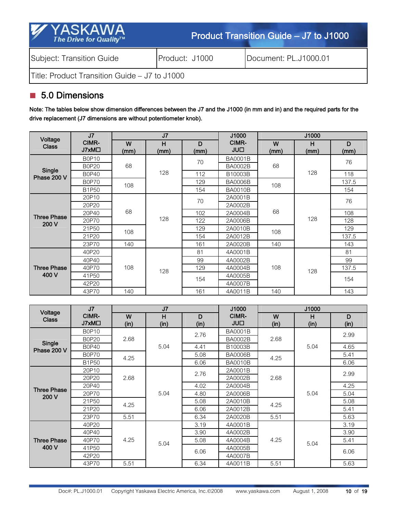| <b>YASKAWA</b><br>W<br>The Drive for Quality™ |                | Product Transition Guide – J7 to J1000 |  |  |  |  |  |  |
|-----------------------------------------------|----------------|----------------------------------------|--|--|--|--|--|--|
| Subject: Transition Guide                     | Product: J1000 | Document: PL.J1000.01                  |  |  |  |  |  |  |
| Title: Product Transition Guide – J7 to J1000 |                |                                        |  |  |  |  |  |  |

# ■ 5.0 Dimensions

Note: The tables below show dimension differences between the J7 and the J1000 (in mm and in) and the required parts for the drive replacement (J7 dimensions are without potentiometer knob).

| Voltage            | J <sub>7</sub>             | J <sub>7</sub>                      |     |              | J1000          | J1000     |           |       |
|--------------------|----------------------------|-------------------------------------|-----|--------------|----------------|-----------|-----------|-------|
| <b>Class</b>       | CIMR-<br>J7xM <sub>D</sub> | H<br>D<br>W<br>(mm)<br>(mm)<br>(mm) |     | CIMR-<br>JU□ | W<br>(mm)      | H<br>(mm) | D<br>(mm) |       |
|                    | B0P10                      |                                     |     | 70           | <b>BA0001B</b> |           |           | 76    |
| Single             | <b>B0P20</b>               | 68                                  |     |              | <b>BA0002B</b> | 68        |           |       |
| Phase 200 V        | <b>B0P40</b>               |                                     | 128 | 112          | B10003B        |           | 128       | 118   |
|                    | <b>B0P70</b>               | 108                                 |     | 129          | <b>BA0006B</b> | 108       |           | 137.5 |
|                    | B1P50                      |                                     |     | 154          | <b>BA0010B</b> |           |           | 154   |
|                    | 20P10                      |                                     |     | 70           | 2A0001B        | 68        |           | 76    |
|                    | 20P20                      | 68<br>108                           | 128 |              | 2A0002B        |           | 128       |       |
| <b>Three Phase</b> | 20P40                      |                                     |     | 102          | 2A0004B        |           |           | 108   |
| 200 V              | 20P70                      |                                     |     | 122          | 2A0006B        |           |           | 128   |
|                    | 21P50                      |                                     |     | 129          | 2A0010B        | 108       |           | 129   |
|                    | 21P20                      |                                     |     | 154          | 2A0012B        |           |           | 137.5 |
|                    | 23P70                      | 140                                 |     | 161          | 2A0020B        | 140       |           | 143   |
|                    | 40P20                      |                                     |     | 81           | 4A0001B        |           |           | 81    |
|                    | 40P40                      |                                     |     | 99           | 4A0002B        |           |           | 99    |
| <b>Three Phase</b> | 40P70                      | 108                                 | 128 | 129          | 4A0004B        | 108       | 128       | 137.5 |
| 400 V              | 41P50                      |                                     |     | 154          | 4A0005B        |           |           | 154   |
|                    | 42P20                      |                                     |     |              | 4A0007B        |           |           |       |
|                    | 43P70                      | 140                                 |     | 161          | 4A0011B        | 140       |           | 143   |

| Voltage                     | J <sub>7</sub>             |      | J <sub>7</sub> |      | J1000                | J1000 |      |      |
|-----------------------------|----------------------------|------|----------------|------|----------------------|-------|------|------|
| <b>Class</b>                | CIMR-<br>J7xM <sub>D</sub> | W    | н              | D    | CIMR-<br><b>JULI</b> | W     | н    | D    |
|                             |                            | (in) | (in)           | (in) |                      | (in)  | (in) | (in) |
|                             | B0P10                      |      |                | 2.76 | <b>BA0001B</b>       |       |      | 2.99 |
| Single                      | <b>B0P20</b>               | 2.68 |                |      | <b>BA0002B</b>       | 2.68  |      |      |
| Phase 200 V                 | <b>B0P40</b>               |      | 5.04           | 4.41 | B10003B              |       | 5.04 | 4.65 |
|                             | B0P70                      | 4.25 |                | 5.08 | <b>BA0006B</b>       | 4.25  |      | 5.41 |
|                             | B1P50                      |      |                | 6.06 | <b>BA0010B</b>       |       |      | 6.06 |
|                             | 20P10                      |      | 5.04           | 2.76 | 2A0001B              |       | 5.04 | 2.99 |
|                             | 20P20                      | 2.68 |                |      | 2A0002B              | 2.68  |      |      |
|                             | 20P40                      |      |                | 4.02 | 2A0004B              |       |      | 4.25 |
| <b>Three Phase</b><br>200 V | 20P70                      |      |                | 4.80 | 2A0006B              |       |      | 5.04 |
|                             | 21P <sub>50</sub>          | 4.25 |                | 5.08 | 2A0010B              | 4.25  |      | 5.08 |
|                             | 21P20                      |      |                | 6.06 | 2A0012B              |       |      | 5.41 |
|                             | 23P70                      | 5.51 |                | 6.34 | 2A0020B              | 5.51  |      | 5.63 |
|                             | 40P20                      |      |                | 3.19 | 4A0001B              |       |      | 3.19 |
|                             | 40P40                      |      |                | 3.90 | 4A0002B              |       |      | 3.90 |
| <b>Three Phase</b>          | 40P70                      | 4.25 | 5.04           | 5.08 | 4A0004B              | 4.25  |      | 5.41 |
| 400 V                       | 41P50                      |      |                | 6.06 | 4A0005B              |       | 5.04 | 6.06 |
|                             | 42P20                      |      |                |      | 4A0007B              |       |      |      |
|                             | 43P70                      | 5.51 |                | 6.34 | 4A0011B              | 5.51  |      | 5.63 |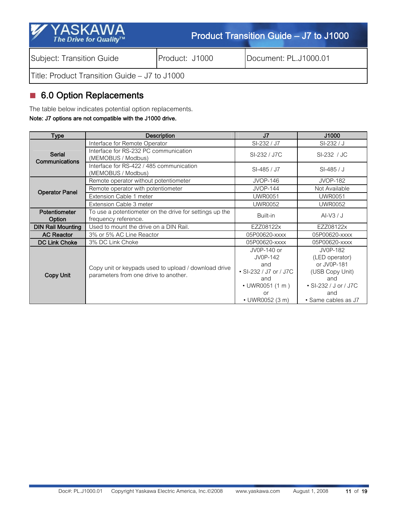| <b>M</b><br><b>YASKAWA</b><br>The Drive for Quality™ |                | Product Transition Guide – J7 to J1000 |  |  |  |  |  |  |
|------------------------------------------------------|----------------|----------------------------------------|--|--|--|--|--|--|
| Subject: Transition Guide                            | Product: J1000 | Document: PL.J1000.01                  |  |  |  |  |  |  |
| Title: Product Transition Guide – J7 to J1000        |                |                                        |  |  |  |  |  |  |

# 6.0 Option Replacements

The table below indicates potential option replacements.

#### Note: J7 options are not compatible with the J1000 drive.

| <b>Type</b>                            | <b>Description</b>                                                                            | J <sub>7</sub>                                                                                                           | J1000                                                                                                                      |
|----------------------------------------|-----------------------------------------------------------------------------------------------|--------------------------------------------------------------------------------------------------------------------------|----------------------------------------------------------------------------------------------------------------------------|
|                                        | Interface for Remote Operator                                                                 | SI-232 / J7                                                                                                              | SI-232 / J                                                                                                                 |
| <b>Serial</b><br><b>Communications</b> | Interface for RS-232 PC communication<br>(MEMOBUS / Modbus)                                   | SI-232 / J7C                                                                                                             | SI-232 / JC                                                                                                                |
|                                        | Interface for RS-422 / 485 communication<br>(MEMOBUS / Modbus)                                | SI-485 / J7                                                                                                              | $SI-485/J$                                                                                                                 |
|                                        | Remote operator without potentiometer                                                         | <b>JVOP-146</b>                                                                                                          | <b>JVOP-182</b>                                                                                                            |
| <b>Operator Panel</b>                  | Remote operator with potentiometer                                                            | <b>JVOP-144</b>                                                                                                          | Not Available                                                                                                              |
|                                        | Extension Cable 1 meter                                                                       | <b>UWR0051</b>                                                                                                           | <b>UWR0051</b>                                                                                                             |
|                                        | Extension Cable 3 meter                                                                       | <b>UWR0052</b>                                                                                                           | <b>UWR0052</b>                                                                                                             |
| <b>Potentiometer</b><br>Option         | To use a potentiometer on the drive for settings up the<br>frequency reference.               | Built-in                                                                                                                 | Al-V3 / J                                                                                                                  |
| <b>DIN Rail Mounting</b>               | Used to mount the drive on a DIN Rail.                                                        | EZZ08122x                                                                                                                | EZZ08122x                                                                                                                  |
| <b>AC Reactor</b>                      | 3% or 5% AC Line Reactor                                                                      | 05P00620-xxxx                                                                                                            | 05P00620-xxxx                                                                                                              |
| <b>DC Link Choke</b>                   | 3% DC Link Choke                                                                              | 05P00620-xxxx                                                                                                            | 05P00620-xxxx                                                                                                              |
| <b>Copy Unit</b>                       | Copy unit or keypads used to upload / download drive<br>parameters from one drive to another. | JV0P-140 or<br>JV0P-142<br>and<br>• SI-232 / J7 or / J7C<br>and<br>• UWR0051 (1 m)<br><b>or</b><br>$\cdot$ UWR0052 (3 m) | JV0P-182<br>(LED operator)<br>or JV0P-181<br>(USB Copy Unit)<br>and<br>• SI-232 / J or / J7C<br>and<br>· Same cables as J7 |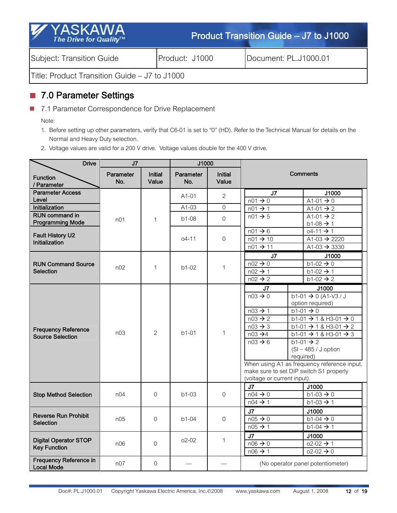| <b>Y</b> YASKAWA<br>The Drive for Quality™    |                | Product Transition Guide – J7 to J1000 |  |  |  |  |  |  |
|-----------------------------------------------|----------------|----------------------------------------|--|--|--|--|--|--|
| Subject: Transition Guide                     | Product: J1000 | Document: PL.J1000.01                  |  |  |  |  |  |  |
| Title: Product Transition Guide – J7 to J1000 |                |                                        |  |  |  |  |  |  |

## ■ 7.0 Parameter Settings

■ 7.1 Parameter Correspondence for Drive Replacement

Note:

- 1. Before setting up other parameters, verify that C6-01 is set to "0" (HD). Refer to the Technical Manual for details on the Normal and Heavy Duty selection.
- 2. Voltage values are valid for a 200 V drive. Voltage values double for the 400 V drive.

| <b>Drive</b>                                          | J <sub>7</sub>   |                         | J1000            |                         |                                                                                                                                                                                                                                                                                                                                                                                                                                                                                                                                                                                    |                                                                                  |
|-------------------------------------------------------|------------------|-------------------------|------------------|-------------------------|------------------------------------------------------------------------------------------------------------------------------------------------------------------------------------------------------------------------------------------------------------------------------------------------------------------------------------------------------------------------------------------------------------------------------------------------------------------------------------------------------------------------------------------------------------------------------------|----------------------------------------------------------------------------------|
| <b>Function</b><br>/ Parameter                        | Parameter<br>No. | <b>Initial</b><br>Value | Parameter<br>No. | <b>Initial</b><br>Value |                                                                                                                                                                                                                                                                                                                                                                                                                                                                                                                                                                                    | Comments                                                                         |
| <b>Parameter Access</b><br>Level                      |                  |                         | $A1-01$          | $\overline{c}$          | J7<br>$n01 \rightarrow 0$                                                                                                                                                                                                                                                                                                                                                                                                                                                                                                                                                          | J1000<br>A1-01 $\rightarrow$ 0                                                   |
| Initialization                                        |                  |                         | $A1-03$          | $\Omega$                | $n01 \rightarrow 1$                                                                                                                                                                                                                                                                                                                                                                                                                                                                                                                                                                | A1-01 $\rightarrow$ 2                                                            |
| <b>RUN command in</b><br><b>Programming Mode</b>      | n <sub>01</sub>  | $\mathbf{1}$            | $b1-08$          | $\overline{0}$          | $n01 \rightarrow 5$                                                                                                                                                                                                                                                                                                                                                                                                                                                                                                                                                                | A1-01 $\rightarrow$ 2<br>$b1-08 \rightarrow 1$                                   |
| <b>Fault History U2</b><br>Initialization             |                  |                         | $04 - 11$        | 0                       | $n01 \rightarrow 6$<br>$n01 \rightarrow 10$<br>$n01 \rightarrow 11$                                                                                                                                                                                                                                                                                                                                                                                                                                                                                                                | $04 - 11 \rightarrow 1$<br>A1-03 $\rightarrow$ 2220<br>$A1-03 \rightarrow 3330$  |
| <b>RUN Command Source</b><br>Selection                | n02              | $\mathbf{1}$            | $b1-02$          | 1                       | J <sub>7</sub><br>$n02 \rightarrow 0$<br>$n02 \rightarrow 1$<br>$n02 \rightarrow 2$                                                                                                                                                                                                                                                                                                                                                                                                                                                                                                | J1000<br>$b1-02 \rightarrow 0$<br>$b1-02 \rightarrow 1$<br>$b1-02 \rightarrow 2$ |
| <b>Frequency Reference</b><br><b>Source Selection</b> | n <sub>0.3</sub> | $\overline{2}$          | $h1-01$          | $\mathbf{1}$            | J7<br>J1000<br>$b1-01 \rightarrow 0 (A1-V3 / J$<br>$n03 \rightarrow 0$<br>option required)<br>$n03 \rightarrow 1$<br>$b1-01 \rightarrow 0$<br>$n03 \rightarrow 2$<br>$b1-01 \rightarrow 1$ & H3-01 $\rightarrow 0$<br>$n03 \rightarrow 3$<br>$b1-01 \rightarrow 1$ & H3-01 $\rightarrow 2$<br>$n03 \rightarrow 4$<br>$b1-01 \rightarrow 1$ & H3-01 $\rightarrow 3$<br>$n03 \rightarrow 6$<br>$b1-01 \rightarrow 2$<br>$(SI - 485 / J$ option<br>required)<br>When using A1 as frequency reference input,<br>make sure to set DIP switch S1 properly<br>(voltage or current input). |                                                                                  |
| <b>Stop Method Selection</b>                          | n <sub>04</sub>  | $\Omega$                | $b1-03$          | 0                       | J7<br>$n04 \rightarrow 0$<br>$n04 \rightarrow 1$                                                                                                                                                                                                                                                                                                                                                                                                                                                                                                                                   | J1000<br>$b1-03 \rightarrow 0$<br>$b1-03 \rightarrow 1$                          |
| <b>Reverse Run Prohibit</b><br><b>Selection</b>       | n05              | $\Omega$                | $b1-04$          | 0                       | J <sub>7</sub><br>$n05 \rightarrow 0$<br>$n05 \rightarrow 1$                                                                                                                                                                                                                                                                                                                                                                                                                                                                                                                       | J1000<br>$b1-04 \rightarrow 0$<br>$b1-04 \rightarrow 1$                          |
| <b>Digital Operator STOP</b><br><b>Key Function</b>   | n06              | $\overline{0}$          | $02 - 02$        | $\mathbf 1$             | J <sub>7</sub><br>$n06 \rightarrow 0$<br>$n06 \rightarrow 1$                                                                                                                                                                                                                                                                                                                                                                                                                                                                                                                       | J1000<br>$02 - 02 \rightarrow 1$<br>$02 - 02 \rightarrow 0$                      |
| <b>Frequency Reference in</b><br><b>Local Mode</b>    | n07              | $\overline{0}$          |                  |                         |                                                                                                                                                                                                                                                                                                                                                                                                                                                                                                                                                                                    | (No operator panel potentiometer)                                                |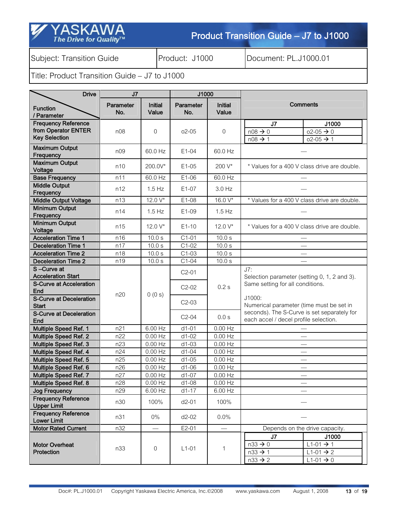Subject: Transition Guide **Product: J1000** Document: PL.J1000.01

SK

The Drive for Quality<sup>TM</sup>

| <b>Drive</b>                                                              | J <sub>7</sub>   |                         | J1000            |                         |                                                                                         |                                                                                  |
|---------------------------------------------------------------------------|------------------|-------------------------|------------------|-------------------------|-----------------------------------------------------------------------------------------|----------------------------------------------------------------------------------|
| <b>Function</b><br>/ Parameter                                            | Parameter<br>No. | <b>Initial</b><br>Value | Parameter<br>No. | <b>Initial</b><br>Value |                                                                                         | <b>Comments</b>                                                                  |
| <b>Frequency Reference</b><br>from Operator ENTER<br><b>Key Selection</b> | n08              | $\overline{0}$          | $02 - 05$        | $\overline{0}$          | J7<br>$n08 \rightarrow 0$<br>$n08 \rightarrow 1$                                        | J1000<br>$02 - 05 \rightarrow 0$<br>$02 - 05 \rightarrow 1$                      |
| <b>Maximum Output</b><br>Frequency                                        | n09              | 60.0 Hz                 | $E1-04$          | 60.0 Hz                 |                                                                                         |                                                                                  |
| <b>Maximum Output</b><br>Voltage                                          | n10              | 200.0V*                 | $E1-05$          | 200 V*                  |                                                                                         | * Values for a 400 V class drive are double.                                     |
| <b>Base Frequency</b>                                                     | n11              | 60.0 Hz                 | E1-06            | 60.0 Hz                 |                                                                                         |                                                                                  |
| <b>Middle Output</b><br>Frequency                                         | n12              | $1.5$ Hz                | $E1-07$          | $3.0$ Hz                |                                                                                         |                                                                                  |
| <b>Middle Output Voltage</b>                                              | n13              | 12.0 V*                 | E1-08            | 16.0 V*                 |                                                                                         | * Values for a 400 V class drive are double.                                     |
| <b>Minimum Output</b><br>Frequency                                        | n14              | $1.5$ Hz                | E1-09            | $1.5$ Hz                |                                                                                         |                                                                                  |
| Minimum Output<br>Voltage                                                 | n15              | 12.0 V*                 | $E1-10$          | 12.0 V*                 |                                                                                         | * Values for a 400 V class drive are double.                                     |
| <b>Acceleration Time 1</b>                                                | n16              | 10.0 s                  | $C1-01$          | 10.0 s                  |                                                                                         |                                                                                  |
| <b>Deceleration Time 1</b>                                                | n17              | 10.0 s                  | $C1-02$          | 10.0 s                  |                                                                                         |                                                                                  |
| <b>Acceleration Time 2</b>                                                | n18              | 10.0 s                  | $C1-03$          | 10.0 s                  |                                                                                         |                                                                                  |
| <b>Deceleration Time 2</b>                                                | n19              | 10.0 s                  | $C1-04$          | 10.0 s                  |                                                                                         |                                                                                  |
| S-Curve at<br><b>Acceleration Start</b>                                   |                  |                         | $C2-01$          |                         | J7:<br>Selection parameter (setting 0, 1, 2 and 3).<br>Same setting for all conditions. |                                                                                  |
| <b>S-Curve at Acceleration</b><br>End                                     | n20              | 0(0s)                   | $C2-02$          | 0.2s                    |                                                                                         |                                                                                  |
| <b>S-Curve at Deceleration</b><br><b>Start</b>                            |                  |                         | $C2-03$          |                         | J1000:<br>Numerical parameter (time must be set in                                      |                                                                                  |
| <b>S-Curve at Deceleration</b><br>End                                     |                  |                         | $C2-04$          | 0.0 s                   | seconds). The S-Curve is set separately for<br>each accel / decel profile selection.    |                                                                                  |
| Multiple Speed Ref. 1                                                     | n21              | 6.00 Hz                 | $d1-01$          | $0.00$ Hz               |                                                                                         |                                                                                  |
| <b>Multiple Speed Ref. 2</b>                                              | n22              | $0.00$ Hz               | $d1-02$          | $0.00$ Hz               |                                                                                         |                                                                                  |
| Multiple Speed Ref. 3                                                     | n23              | $0.00$ Hz               | $d1-03$          | $0.00$ Hz               |                                                                                         | $\overbrace{\qquad \qquad }^{ }$                                                 |
| Multiple Speed Ref. 4                                                     | n24              | $0.00$ Hz               | $d1-04$          | $0.00$ Hz               |                                                                                         | $\overbrace{\qquad \qquad }^{ }$                                                 |
| Multiple Speed Ref. 5                                                     | n25              | $0.00$ Hz               | $d1-05$          | $0.00$ Hz               |                                                                                         | $\overbrace{\qquad \qquad }^{}$                                                  |
| Multiple Speed Ref. 6                                                     | n26              | $0.00$ Hz               | $d1-06$          | $0.00$ Hz               |                                                                                         |                                                                                  |
| Multiple Speed Ref. 7                                                     | n27              | $0.00$ Hz               | $d1-07$          | $0.00$ Hz               |                                                                                         | $\overline{\phantom{m}}$                                                         |
| Multiple Speed Ref. 8<br><b>Jog Frequency</b>                             | n28<br>n29       | $0.00$ Hz<br>6.00 Hz    | d1-08<br>$d1-17$ | $0.00$ Hz<br>6.00 Hz    |                                                                                         |                                                                                  |
| <b>Frequency Reference</b>                                                |                  |                         |                  |                         |                                                                                         |                                                                                  |
| <b>Upper Limit</b>                                                        | n30              | 100%                    | $d2-01$          | 100%                    |                                                                                         |                                                                                  |
| <b>Frequency Reference</b><br><b>Lower Limit</b>                          | n31              | $0\%$                   | $d2-02$          | 0.0%                    |                                                                                         |                                                                                  |
| <b>Motor Rated Current</b>                                                | n32              |                         | $E2-01$          |                         |                                                                                         | Depends on the drive capacity.                                                   |
| <b>Motor Overheat</b><br>Protection                                       | n33              | $\overline{0}$          | $L1-01$          | $\mathbf 1$             | J <sub>7</sub><br>$n33 \rightarrow 0$<br>$n33 \rightarrow 1$<br>$n33 \rightarrow 2$     | J1000<br>$L1-01 \rightarrow 1$<br>$L1-01 \rightarrow 2$<br>$L1-01 \rightarrow 0$ |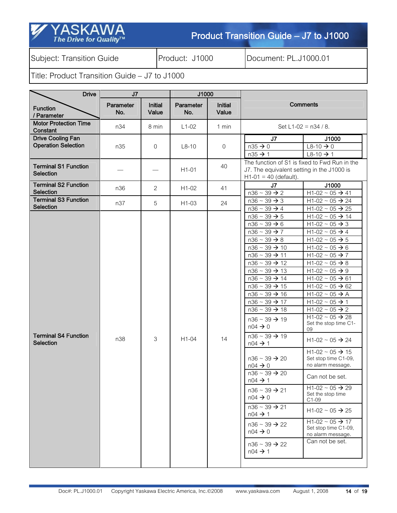| <b>⁄∕</b> YASKAWA`        |  |
|---------------------------|--|
| The Drive for Quality $W$ |  |

Subject: Transition Guide **Product: J1000** Document: PL.J1000.01

| <b>Drive</b>                                           | J7               |                         | J1000            |                         |                                                                                                                                                                                                                                                                                                                                                                                                                                                                                                                                                                                                                                                                                                                                                                                                                                                                               |                                                                                                                                                                                                                                                                                                                                                                                                                                                                                                                                                                                                                                                                                                                                                                                                                                                           |
|--------------------------------------------------------|------------------|-------------------------|------------------|-------------------------|-------------------------------------------------------------------------------------------------------------------------------------------------------------------------------------------------------------------------------------------------------------------------------------------------------------------------------------------------------------------------------------------------------------------------------------------------------------------------------------------------------------------------------------------------------------------------------------------------------------------------------------------------------------------------------------------------------------------------------------------------------------------------------------------------------------------------------------------------------------------------------|-----------------------------------------------------------------------------------------------------------------------------------------------------------------------------------------------------------------------------------------------------------------------------------------------------------------------------------------------------------------------------------------------------------------------------------------------------------------------------------------------------------------------------------------------------------------------------------------------------------------------------------------------------------------------------------------------------------------------------------------------------------------------------------------------------------------------------------------------------------|
| <b>Function</b><br>/ Parameter                         | Parameter<br>No. | <b>Initial</b><br>Value | Parameter<br>No. | <b>Initial</b><br>Value | <b>Comments</b>                                                                                                                                                                                                                                                                                                                                                                                                                                                                                                                                                                                                                                                                                                                                                                                                                                                               |                                                                                                                                                                                                                                                                                                                                                                                                                                                                                                                                                                                                                                                                                                                                                                                                                                                           |
| <b>Motor Protection Time</b><br>Constant               | n34              | 8 min                   | $L1-02$          | 1 min                   |                                                                                                                                                                                                                                                                                                                                                                                                                                                                                                                                                                                                                                                                                                                                                                                                                                                                               | Set L1-02 = $n34 / 8$ .                                                                                                                                                                                                                                                                                                                                                                                                                                                                                                                                                                                                                                                                                                                                                                                                                                   |
| <b>Drive Cooling Fan</b><br><b>Operation Selection</b> | n35              | 0                       | $L8-10$          | $\boldsymbol{0}$        | J <sub>7</sub><br>$n35 \rightarrow 0$<br>$n35 \rightarrow 1$                                                                                                                                                                                                                                                                                                                                                                                                                                                                                                                                                                                                                                                                                                                                                                                                                  | J1000<br>$L8-10 \rightarrow 0$<br>$L8-10 \rightarrow 1$                                                                                                                                                                                                                                                                                                                                                                                                                                                                                                                                                                                                                                                                                                                                                                                                   |
| <b>Terminal S1 Function</b><br><b>Selection</b>        |                  |                         | $H1-01$          | 40                      | The function of S1 is fixed to Fwd Run in the<br>J7. The equivalent setting in the J1000 is<br>$H1-01 = 40$ (default).                                                                                                                                                                                                                                                                                                                                                                                                                                                                                                                                                                                                                                                                                                                                                        |                                                                                                                                                                                                                                                                                                                                                                                                                                                                                                                                                                                                                                                                                                                                                                                                                                                           |
| <b>Terminal S2 Function</b><br><b>Selection</b>        | n36              | 2                       | $H1-02$          | 41                      | J <sub>7</sub><br>$n36 \sim 39 \rightarrow 2$                                                                                                                                                                                                                                                                                                                                                                                                                                                                                                                                                                                                                                                                                                                                                                                                                                 | J1000<br>$H1-02 \sim 05 \rightarrow 41$                                                                                                                                                                                                                                                                                                                                                                                                                                                                                                                                                                                                                                                                                                                                                                                                                   |
| <b>Terminal S3 Function</b><br>Selection               | n37              | 5                       | H1-03            | 24                      | $n36 \sim 39 \rightarrow 3$<br>$n36 \sim 39 \rightarrow 4$                                                                                                                                                                                                                                                                                                                                                                                                                                                                                                                                                                                                                                                                                                                                                                                                                    | $H1-02 \sim 05 \rightarrow 24$<br>$H1-02 \sim 05 \rightarrow 25$                                                                                                                                                                                                                                                                                                                                                                                                                                                                                                                                                                                                                                                                                                                                                                                          |
| <b>Terminal S4 Function</b><br>Selection               | n38              | 3                       | H1-04            | 14                      | $n36 \sim 39 \rightarrow 5$<br>$n36 \sim 39 \rightarrow 6$<br>$n36 \sim 39 \rightarrow 7$<br>$n36 \sim 39 \rightarrow 8$<br>$n36 \sim 39 \rightarrow 10$<br>$n36 \sim 39 \rightarrow 11$<br>$n36 \sim 39 \rightarrow 12$<br>$n36 \sim 39 \rightarrow 13$<br>$n36 \sim 39 \rightarrow 14$<br>$n36 \sim 39 \rightarrow 15$<br>$n36 \sim 39 \rightarrow 16$<br>$n36 \sim 39 \rightarrow 17$<br>$n36 \sim 39 \rightarrow 18$<br>$n36 \sim 39 \rightarrow 19$<br>$n04 \rightarrow 0$<br>$n36 \sim 39 \rightarrow 19$<br>$n04 \rightarrow 1$<br>$n36 \sim 39 \rightarrow 20$<br>$n04 \rightarrow 0$<br>$n36 - 39 \rightarrow 20$<br>$n04 \rightarrow 1$<br>$n36 \sim 39 \rightarrow 21$<br>$n04 \rightarrow 0$<br>$n36 \sim 39 \rightarrow 21$<br>$n04 \rightarrow 1$<br>$n36 \sim 39 \rightarrow 22$<br>$n04 \rightarrow 0$<br>$n36 \sim 39 \rightarrow 22$<br>$n04 \rightarrow 1$ | $H1-02 \sim 05 \rightarrow 14$<br>$H1-02 \sim 05 \rightarrow 3$<br>$H1-02 \sim 05 \rightarrow 4$<br>$H1-02 \sim 05 \rightarrow 5$<br>$H1-02 \sim 05 \rightarrow 6$<br>$H1-02 \sim 05 \rightarrow 7$<br>$H1-02 \sim 05 \rightarrow 8$<br>$H1-02 \sim 05 \rightarrow 9$<br>$H1-02 \sim 05 \rightarrow 61$<br>$H1-02 \sim 05 \rightarrow 62$<br>H1-02 $\sim$ 05 $\rightarrow$ A<br>$H1-02 \sim 05 \rightarrow 1$<br>$H1-02 \sim 05 \rightarrow 2$<br>$H1-02 \sim 05 \rightarrow 28$<br>Set the stop time C1-<br>09<br>$H1-02 \sim 05 \rightarrow 24$<br>$H1-02 \sim 05 \rightarrow 15$<br>Set stop time C1-09,<br>no alarm message.<br>Can not be set.<br>$H1-02 \sim 05 \rightarrow 29$<br>Set the stop time<br>$C1-09$<br>$H1-02 \sim 05 \rightarrow 25$<br>$H1-02 \sim 05 \rightarrow 17$<br>Set stop time C1-09,<br>no alarm message.<br>Can not be set. |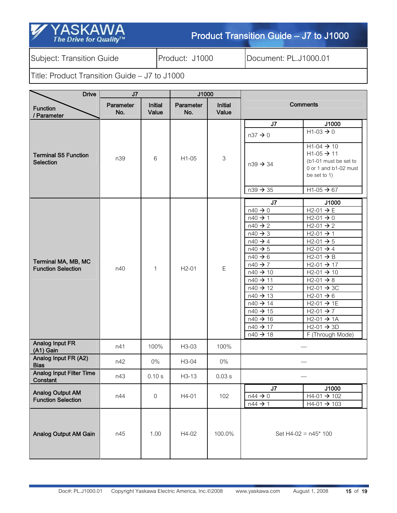| Y YASKAWA                                                |  |
|----------------------------------------------------------|--|
|                                                          |  |
|                                                          |  |
| The Drive for Quality <sup><math>\mathsf{m}</math></sup> |  |
|                                                          |  |

Subject: Transition Guide | Product: J1000 | Document: PL.J1000.01

| <b>Drive</b>                                         | J7               | J1000                   |                  |                         |                                                                                                                                                                                                                                                                                                                                                                                                                                                                                                                                                                                                                                                                                                                                                                                                                                                                                   |
|------------------------------------------------------|------------------|-------------------------|------------------|-------------------------|-----------------------------------------------------------------------------------------------------------------------------------------------------------------------------------------------------------------------------------------------------------------------------------------------------------------------------------------------------------------------------------------------------------------------------------------------------------------------------------------------------------------------------------------------------------------------------------------------------------------------------------------------------------------------------------------------------------------------------------------------------------------------------------------------------------------------------------------------------------------------------------|
| <b>Function</b><br>/ Parameter                       | Parameter<br>No. | <b>Initial</b><br>Value | Parameter<br>No. | <b>Initial</b><br>Value | <b>Comments</b>                                                                                                                                                                                                                                                                                                                                                                                                                                                                                                                                                                                                                                                                                                                                                                                                                                                                   |
|                                                      |                  |                         |                  |                         | J7<br>J1000<br>$H1-03 \rightarrow 0$<br>$n37 \rightarrow 0$                                                                                                                                                                                                                                                                                                                                                                                                                                                                                                                                                                                                                                                                                                                                                                                                                       |
| <b>Terminal S5 Function</b><br>Selection             | n39              | 6                       | $H1-05$          | 3                       | $H1-04 \rightarrow 10$<br>$H1-05 \rightarrow 11$<br>(b1-01 must be set to<br>$n39 \rightarrow 34$<br>0 or 1 and b1-02 must<br>be set to 1)                                                                                                                                                                                                                                                                                                                                                                                                                                                                                                                                                                                                                                                                                                                                        |
|                                                      |                  |                         |                  |                         | $n39 \rightarrow 35$<br>$H1-05 \rightarrow 67$                                                                                                                                                                                                                                                                                                                                                                                                                                                                                                                                                                                                                                                                                                                                                                                                                                    |
| Terminal MA, MB, MC<br><b>Function Selection</b>     | n40              | $\mathbf{1}$            | $H2-01$          | $\mathsf E$             | J <sub>7</sub><br>J1000<br>$n40 \rightarrow 0$<br>$H2-01 \rightarrow E$<br>$n40 \rightarrow 1$<br>$H2-01 \rightarrow 0$<br>$n40 \rightarrow 2$<br>$H2-01 \rightarrow 2$<br>$n40 \rightarrow 3$<br>$H2-01 \rightarrow 1$<br>$n40 \rightarrow 4$<br>$H2-01 \rightarrow 5$<br>$n40 \rightarrow 5$<br>$H2-01 \rightarrow 4$<br>$n40 \rightarrow 6$<br>$H2-01 \rightarrow B$<br>$n40 \rightarrow 7$<br>$H2-01 \rightarrow 17$<br>$n40 \rightarrow 10$<br>$H2-01 \rightarrow 10$<br>$n40 \rightarrow 11$<br>$H2-01 \rightarrow 8$<br>$n40 \rightarrow 12$<br>$H2-01 \rightarrow 3C$<br>$n40 \rightarrow 13$<br>$H2-01 \rightarrow 6$<br>$n40 \rightarrow 14$<br>$H2-01 \rightarrow 1E$<br>$n40 \rightarrow 15$<br>$H2-01 \rightarrow 7$<br>$n40 \rightarrow 16$<br>$H2-01 \rightarrow 1A$<br>$H2-01 \rightarrow 3D$<br>$n40 \rightarrow 17$<br>$n40 \rightarrow 18$<br>F (Through Mode) |
| Analog Input FR<br>(A1) Gain                         | n41              | 100%                    | H3-03            | 100%                    |                                                                                                                                                                                                                                                                                                                                                                                                                                                                                                                                                                                                                                                                                                                                                                                                                                                                                   |
| Analog Input FR (A2)<br><b>Bias</b>                  | n42              | $0\%$                   | H3-04            | $0\%$                   |                                                                                                                                                                                                                                                                                                                                                                                                                                                                                                                                                                                                                                                                                                                                                                                                                                                                                   |
| <b>Analog Input Filter Time</b><br>Constant          | n43              | 0.10 s                  | $H3-13$          | 0.03 s                  |                                                                                                                                                                                                                                                                                                                                                                                                                                                                                                                                                                                                                                                                                                                                                                                                                                                                                   |
| <b>Analog Output AM</b><br><b>Function Selection</b> | n44              | 0                       | H4-01            | 102                     | J7<br>J1000<br>$H4-01 \rightarrow 102$<br>$n44 \rightarrow 0$<br>$n44 \rightarrow 1$<br>$H4-01 \rightarrow 103$                                                                                                                                                                                                                                                                                                                                                                                                                                                                                                                                                                                                                                                                                                                                                                   |
| Analog Output AM Gain                                | n45              | 1.00                    | H4-02            | 100.0%                  | Set H4-02 = $n45*100$                                                                                                                                                                                                                                                                                                                                                                                                                                                                                                                                                                                                                                                                                                                                                                                                                                                             |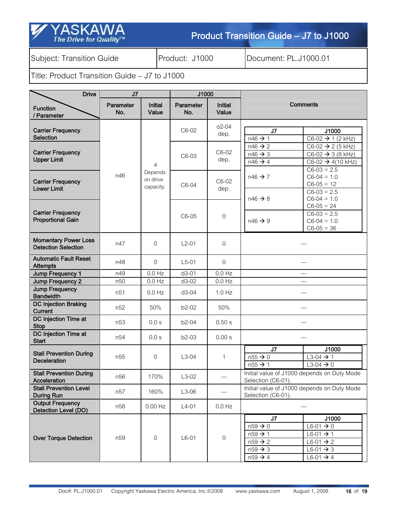| Z YASKAWA              |
|------------------------|
| The Drive for Quality™ |

Subject: Transition Guide **Product: J1000** Document: PL.J1000.01

| <b>Drive</b>                                              | J7               |                                  | J1000            |                         |                                                                                                                                                                                                                                                             |  |  |
|-----------------------------------------------------------|------------------|----------------------------------|------------------|-------------------------|-------------------------------------------------------------------------------------------------------------------------------------------------------------------------------------------------------------------------------------------------------------|--|--|
| <b>Function</b><br>Parameter                              | Parameter<br>No. | <b>Initial</b><br>Value          | Parameter<br>No. | <b>Initial</b><br>Value | <b>Comments</b>                                                                                                                                                                                                                                             |  |  |
| <b>Carrier Frequency</b><br><b>Selection</b>              |                  |                                  | C6-02            | $02 - 04$<br>dep.       | J <sub>7</sub><br>J1000<br>$n46 \rightarrow 1$<br>$C6-02 \rightarrow 1 (2 kHz)$                                                                                                                                                                             |  |  |
| <b>Carrier Frequency</b><br><b>Upper Limit</b>            |                  | 4                                | C6-03            | C6-02<br>dep.           | $n46 \rightarrow 2$<br>$C6-02 \rightarrow 2 (5 kHz)$<br>$n46 \rightarrow 3$<br>$C6-02 \rightarrow 3 (8 kHz)$<br>$n46 \rightarrow 4$<br>$C6-02 \rightarrow 4(10 \text{ kHz})$<br>$C6-03 = 2.5$                                                               |  |  |
| <b>Carrier Frequency</b><br><b>Lower Limit</b>            | n46              | Depends<br>on drive<br>capacity. | C6-04            | C6-02<br>dep.           | $C6-04 = 1.0$<br>$n46 \rightarrow 7$<br>$C6-05 = 12$<br>$C6-03 = 2.5$                                                                                                                                                                                       |  |  |
| <b>Carrier Frequency</b><br><b>Proportional Gain</b>      |                  |                                  | C6-05            | $\boldsymbol{0}$        | $C6-04 = 1.0$<br>$n46 \rightarrow 8$<br>$C6-05 = 24$<br>$C6-03 = 2.5$<br>$C6-04 = 1.0$<br>$n46 \rightarrow 9$<br>$C6-05 = 36$                                                                                                                               |  |  |
| <b>Momentary Power Loss</b><br><b>Detection Selection</b> | n47              | 0                                | $L2-01$          | $\overline{0}$          |                                                                                                                                                                                                                                                             |  |  |
| <b>Automatic Fault Reset</b><br><b>Attempts</b>           | n48              | $\overline{0}$                   | $L5-01$          | $\mathbf 0$             |                                                                                                                                                                                                                                                             |  |  |
| Jump Frequency 1                                          | n49              | $0.0$ Hz                         | $d3-01$          | $0.0$ Hz                |                                                                                                                                                                                                                                                             |  |  |
| Jump Frequency 2                                          | n <sub>50</sub>  | $0.0$ Hz                         | $d3-02$          | $0.0$ Hz                |                                                                                                                                                                                                                                                             |  |  |
| <b>Jump Frequency</b><br><b>Bandwidth</b>                 | n51              | $0.0$ Hz                         | $d3-04$          | $1.0$ Hz                |                                                                                                                                                                                                                                                             |  |  |
| <b>DC Injection Braking</b><br><b>Current</b>             | n <sub>52</sub>  | 50%                              | b2-02            | 50%                     |                                                                                                                                                                                                                                                             |  |  |
| DC Injection Time at<br><b>Stop</b>                       | n <sub>53</sub>  | 0.0 s                            | b2-04            | 0.50 s                  |                                                                                                                                                                                                                                                             |  |  |
| DC Injection Time at<br><b>Start</b>                      | n54              | 0.0 s                            | $b2-03$          | 0.00 s                  |                                                                                                                                                                                                                                                             |  |  |
| <b>Stall Prevention During</b><br><b>Deceleration</b>     | n55              | 0                                | $L3-04$          | $\mathbf{1}$            | J7<br>J1000<br>$L3-04 \rightarrow 1$<br>$n55 \rightarrow 0$<br>$n55 \rightarrow 1$<br>$L3-04 \rightarrow 0$                                                                                                                                                 |  |  |
| <b>Stall Prevention During</b><br>Acceleration            | n56              | 170%                             | $L3-02$          |                         | Initial value of J1000 depends on Duty Mode<br>Selection (C6-01).                                                                                                                                                                                           |  |  |
| <b>Stall Prevention Level</b><br>During Run               | n57              | 160%                             | $L3-06$          |                         | Initial value of J1000 depends on Duty Mode<br>Selection (C6-01).                                                                                                                                                                                           |  |  |
| <b>Output Frequency</b><br>Detection Level (DO)           | n58              | $0.00$ Hz                        | $L4-01$          | $0.0$ Hz                |                                                                                                                                                                                                                                                             |  |  |
| <b>Over Torque Detection</b>                              | n59              | 0                                | $L6-01$          | $\boldsymbol{0}$        | J7<br>J1000<br>$n59 \rightarrow 0$<br>$L6-01 \rightarrow 0$<br>$n59 \rightarrow 1$<br>$L6-01 \rightarrow 1$<br>$n59 \rightarrow 2$<br>$L6-01 \rightarrow 2$<br>$n59 \rightarrow 3$<br>$L6-01 \rightarrow 3$<br>$n59 \rightarrow 4$<br>$L6-01 \rightarrow 4$ |  |  |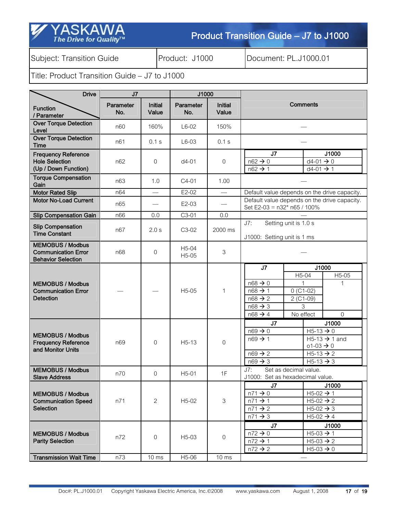### SK The Drive for Quality<sup>TM</sup>

### Product Transition Guide - J7 to J1000

Subject: Transition Guide **Product: J1000** Document: PL.J1000.01

| <b>Drive</b>                                                                       | J <sub>7</sub>   |                         | J1000                                    |                         |                                                                                                                       |                                                            |                                                                                                                                          |
|------------------------------------------------------------------------------------|------------------|-------------------------|------------------------------------------|-------------------------|-----------------------------------------------------------------------------------------------------------------------|------------------------------------------------------------|------------------------------------------------------------------------------------------------------------------------------------------|
| <b>Function</b><br>/ Parameter                                                     | Parameter<br>No. | <b>Initial</b><br>Value | Parameter<br>No.                         | <b>Initial</b><br>Value | Comments                                                                                                              |                                                            |                                                                                                                                          |
| <b>Over Torque Detection</b><br>Level                                              | n60              | 160%                    | $L6-02$                                  | 150%                    |                                                                                                                       |                                                            |                                                                                                                                          |
| <b>Over Torque Detection</b><br>Time                                               | n61              | 0.1 s                   | $L6-03$                                  | 0.1 s                   |                                                                                                                       |                                                            |                                                                                                                                          |
| <b>Frequency Reference</b><br><b>Hole Selection</b><br>(Up / Down Function)        | n62              | $\overline{0}$          | $d4-01$                                  | 0                       | J <sub>7</sub><br>$n62 \rightarrow 0$<br>$n62 \rightarrow 1$                                                          |                                                            | J1000<br>$d4-01 \rightarrow 0$<br>$d4-01 \rightarrow 1$                                                                                  |
| <b>Torque Compensation</b><br>Gain                                                 | n63              | 1.0                     | $C4-01$                                  | 1.00                    |                                                                                                                       |                                                            |                                                                                                                                          |
| <b>Motor Rated Slip</b>                                                            | n64              |                         | $E2-02$                                  | $\qquad \qquad$         |                                                                                                                       |                                                            | Default value depends on the drive capacity.                                                                                             |
| <b>Motor No-Load Current</b>                                                       | n65              |                         | $E2-03$                                  |                         | Set E2-03 = n32* n65 / 100%                                                                                           |                                                            | Default value depends on the drive capacity.                                                                                             |
| <b>Slip Compensation Gain</b>                                                      | n66              | 0.0                     | C3-01                                    | 0.0                     |                                                                                                                       |                                                            |                                                                                                                                          |
| <b>Slip Compensation</b><br><b>Time Constant</b>                                   | n67              | 2.0 s                   | C3-02                                    | 2000 ms                 | Setting unit is 1.0 s<br>J7:<br>J1000: Setting unit is 1 ms                                                           |                                                            |                                                                                                                                          |
| <b>MEMOBUS / Modbus</b><br><b>Communication Error</b><br><b>Behavior Selection</b> | n68              | $\overline{0}$          | H <sub>5</sub> -04<br>H <sub>5</sub> -05 | 3                       |                                                                                                                       |                                                            |                                                                                                                                          |
| <b>MEMOBUS / Modbus</b><br><b>Communication Error</b><br><b>Detection</b>          |                  |                         | H <sub>5</sub> -05                       | $\mathbf 1$             | J7<br>$n68 \rightarrow 0$<br>$n68 \rightarrow 1$<br>$n68 \rightarrow 2$<br>$n68 \rightarrow 3$<br>$n68 \rightarrow 4$ | H5-04<br>1<br>$0$ (C1-02)<br>$2 (C1-09)$<br>3<br>No effect | J1000<br>H5-05<br>$\mathbf{1}$<br>$\overline{0}$                                                                                         |
| <b>MEMOBUS / Modbus</b><br><b>Frequency Reference</b><br>and Monitor Units         | n69              | $\overline{0}$          | $H5-13$                                  | $\mathbf 0$             | J7<br>$n69 \rightarrow 0$<br>$n69 \rightarrow 1$<br>$n69 \rightarrow 2$<br>$n69 \rightarrow 3$                        |                                                            | J1000<br>$H5-13 \rightarrow 0$<br>$H5-13 \rightarrow 1$ and<br>$01 - 03 \rightarrow 0$<br>$H5-13 \rightarrow 2$<br>$H5-13 \rightarrow 3$ |
| <b>MEMOBUS / Modbus</b><br><b>Slave Address</b>                                    | n70              | 0                       | $H5-01$                                  | 1F                      | J7:<br>J1000: Set as hexadecimal value.                                                                               | Set as decimal value.                                      |                                                                                                                                          |
| <b>MEMOBUS / Modbus</b><br><b>Communication Speed</b><br><b>Selection</b>          | n71              | $\overline{c}$          | $H5-02$                                  | 3                       | J7<br>$n71 \rightarrow 0$<br>$n71 \rightarrow 1$<br>$n71 \rightarrow 2$<br>$n71 \rightarrow 3$                        |                                                            | J1000<br>$H5-02 \rightarrow 1$<br>$H5-02 \rightarrow 2$<br>$H5-02 \rightarrow 3$<br>$H5-02 \rightarrow 4$                                |
| <b>MEMOBUS / Modbus</b><br><b>Parity Selection</b>                                 | n72              | $\overline{0}$          | H <sub>5</sub> -03                       | 0                       | J7<br>$n72 \rightarrow 0$<br>$n72 \rightarrow 1$<br>$n72 \rightarrow 2$                                               |                                                            | J1000<br>$H5-03 \rightarrow 1$<br>$H5-03 \rightarrow 2$<br>$H5-03 \rightarrow 0$                                                         |
| <b>Transmission Wait Time</b>                                                      | n73              | $10 \text{ ms}$         | H5-06                                    | $10 \text{ ms}$         |                                                                                                                       |                                                            |                                                                                                                                          |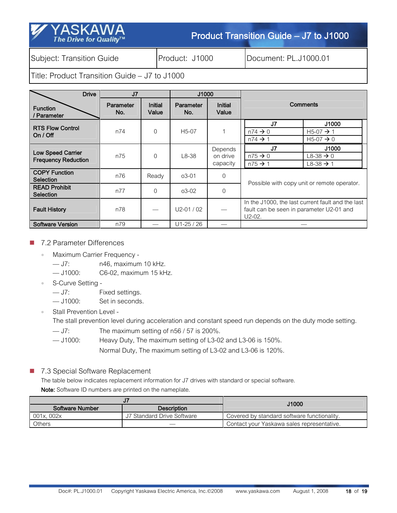Subject: Transition Guide | Product: J1000 | Document: PL.J1000.01

The Drive for Quality™

Title: Product Transition Guide – J7 to J1000

| <b>Drive</b>                                           | J <sub>7</sub>   |                         | J1000                   |                                 |                                                                                                           |                                                                                   |  |
|--------------------------------------------------------|------------------|-------------------------|-------------------------|---------------------------------|-----------------------------------------------------------------------------------------------------------|-----------------------------------------------------------------------------------|--|
| <b>Function</b><br>/ Parameter                         | Parameter<br>No. | <b>Initial</b><br>Value | <b>Parameter</b><br>No. | <b>Initial</b><br>Value         | Comments                                                                                                  |                                                                                   |  |
| <b>RTS Flow Control</b><br>On $/$ Off                  | n74              | $\Omega$                | $H5-07$                 |                                 | J7<br>$n74 \rightarrow 0$<br>$n74 \rightarrow 1$                                                          | J1000<br>H <sub>5</sub> -07 $\rightarrow$ 1<br>H <sub>5</sub> -07 $\rightarrow$ 0 |  |
| <b>Low Speed Carrier</b><br><b>Frequency Reduction</b> | n75              | $\Omega$                | $L8-38$                 | Depends<br>on drive<br>capacity | J7<br>$n75 \rightarrow 0$<br>$n75 \rightarrow 1$                                                          | J1000<br>$L8 - 38 \rightarrow 0$<br>$L8-38 \rightarrow 1$                         |  |
| <b>COPY Function</b><br><b>Selection</b>               | n76              | Ready                   | $03 - 01$               | 0                               |                                                                                                           |                                                                                   |  |
| <b>READ Prohibit</b><br><b>Selection</b>               | n77              | $\Omega$                | $03 - 02$               | 0                               | Possible with copy unit or remote operator.                                                               |                                                                                   |  |
| <b>Fault History</b>                                   | n78              |                         | $U2-01/02$              |                                 | In the J1000, the last current fault and the last<br>fault can be seen in parameter U2-01 and<br>$U2-02.$ |                                                                                   |  |
| <b>Software Version</b>                                | n79              |                         | $U1-25/26$              |                                 |                                                                                                           |                                                                                   |  |

#### 7.2 Parameter Differences

• Maximum Carrier Frequency -

— J7: n46, maximum 10 kHz.

— J1000: C6-02, maximum 15 kHz.

• S-Curve Setting -

— J7: Fixed settings.

— J1000: Set in seconds.

• Stall Prevention Level -

The stall prevention level during acceleration and constant speed run depends on the duty mode setting.

- J7: The maximum setting of n56 / 57 is 200%.
- J1000: Heavy Duty, The maximum setting of L3-02 and L3-06 is 150%.

Normal Duty, The maximum setting of L3-02 and L3-06 is 120%.

7.3 Special Software Replacement

The table below indicates replacement information for J7 drives with standard or special software. Note: Software ID numbers are printed on the nameplate.

|                 |                            | J1000                                       |
|-----------------|----------------------------|---------------------------------------------|
| Software Number | <b>Description</b>         |                                             |
| 001x.002x       | J7 Standard Drive Software | Covered by standard software functionality. |
| Others          |                            | Contact your Yaskawa sales representative.  |